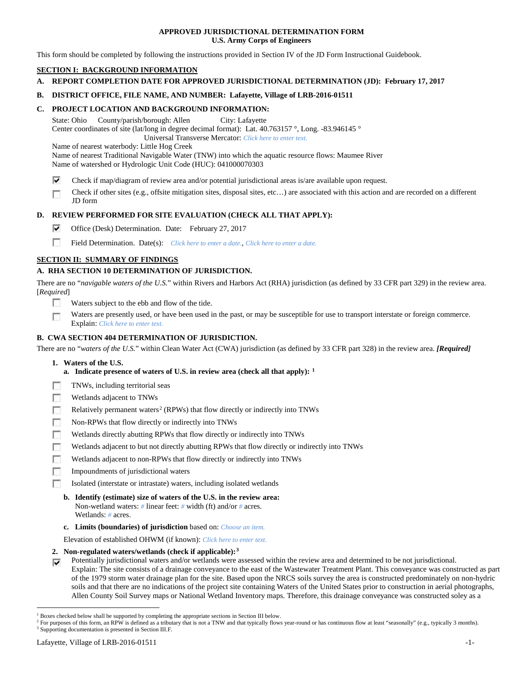## **APPROVED JURISDICTIONAL DETERMINATION FORM U.S. Army Corps of Engineers**

This form should be completed by following the instructions provided in Section IV of the JD Form Instructional Guidebook.

# **SECTION I: BACKGROUND INFORMATION**

**A. REPORT COMPLETION DATE FOR APPROVED JURISDICTIONAL DETERMINATION (JD): February 17, 2017**

## **B. DISTRICT OFFICE, FILE NAME, AND NUMBER: Lafayette, Village of LRB-2016-01511**

## **C. PROJECT LOCATION AND BACKGROUND INFORMATION:**

State: Ohio County/parish/borough: Allen City: Lafayette Center coordinates of site (lat/long in degree decimal format): Lat. 40.763157 °, Long. -83.946145 ° Universal Transverse Mercator: *Click here to enter text.*

Name of nearest waterbody: Little Hog Creek

Name of nearest Traditional Navigable Water (TNW) into which the aquatic resource flows: Maumee River Name of watershed or Hydrologic Unit Code (HUC): 041000070303

- ⊽ Check if map/diagram of review area and/or potential jurisdictional areas is/are available upon request.
- Check if other sites (e.g., offsite mitigation sites, disposal sites, etc…) are associated with this action and are recorded on a different г JD form

## **D. REVIEW PERFORMED FOR SITE EVALUATION (CHECK ALL THAT APPLY):**

- ⊽ Office (Desk) Determination. Date: February 27, 2017
- m Field Determination. Date(s): *Click here to enter a date.*, *Click here to enter a date.*

# **SECTION II: SUMMARY OF FINDINGS**

# **A. RHA SECTION 10 DETERMINATION OF JURISDICTION.**

There are no "*navigable waters of the U.S.*" within Rivers and Harbors Act (RHA) jurisdiction (as defined by 33 CFR part 329) in the review area. [*Required*]

- n Waters subject to the ebb and flow of the tide.
- Waters are presently used, or have been used in the past, or may be susceptible for use to transport interstate or foreign commerce. п Explain: *Click here to enter text.*

## **B. CWA SECTION 404 DETERMINATION OF JURISDICTION.**

There are no "*waters of the U.S.*" within Clean Water Act (CWA) jurisdiction (as defined by 33 CFR part 328) in the review area. *[Required]*

### **1. Waters of the U.S.**

- **a. Indicate presence of waters of U.S. in review area (check all that apply): [1](#page-0-0)**
- TNWs, including territorial seas
- п Wetlands adjacent to TNWs
- Relatively permanent waters<sup>[2](#page-0-1)</sup> (RPWs) that flow directly or indirectly into TNWs Б
- г Non-RPWs that flow directly or indirectly into TNWs
- п Wetlands directly abutting RPWs that flow directly or indirectly into TNWs
- Wetlands adjacent to but not directly abutting RPWs that flow directly or indirectly into TNWs Е
- Wetlands adjacent to non-RPWs that flow directly or indirectly into TNWs г
- г Impoundments of jurisdictional waters
- Isolated (interstate or intrastate) waters, including isolated wetlands п
	- **b. Identify (estimate) size of waters of the U.S. in the review area:** Non-wetland waters: *#* linear feet: *#* width (ft) and/or *#* acres. Wetlands: *#* acres.
	- **c. Limits (boundaries) of jurisdiction** based on: *Choose an item.*

Elevation of established OHWM (if known): *Click here to enter text.*

**2. Non-regulated waters/wetlands (check if applicable):[3](#page-0-2)**

Potentially jurisdictional waters and/or wetlands were assessed within the review area and determined to be not jurisdictional. ⊽ Explain: The site consists of a drainage conveyance to the east of the Wastewater Treatment Plant. This conveyance was constructed as part of the 1979 storm water drainage plan for the site. Based upon the NRCS soils survey the area is constructed predominately on non-hydric soils and that there are no indications of the project site containing Waters of the United States prior to construction in aerial photographs, Allen County Soil Survey maps or National Wetland Inventory maps. Therefore, this drainage conveyance was constructed soley as a

<span id="page-0-0"></span> <sup>1</sup> Boxes checked below shall be supported by completing the appropriate sections in Section III below.

<span id="page-0-2"></span><span id="page-0-1"></span><sup>&</sup>lt;sup>2</sup> For purposes of this form, an RPW is defined as a tributary that is not a TNW and that typically flows year-round or has continuous flow at least "seasonally" (e.g., typically 3 months).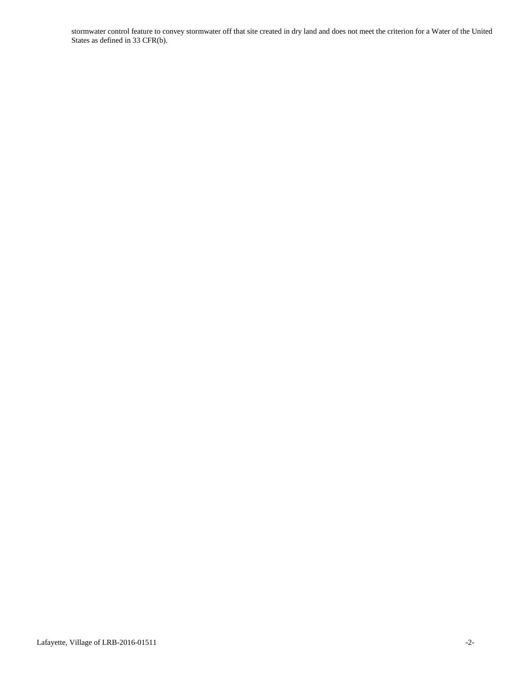stormwater control feature to convey stormwater off that site created in dry land and does not meet the criterion for a Water of the United States as defined in 33 CFR(b).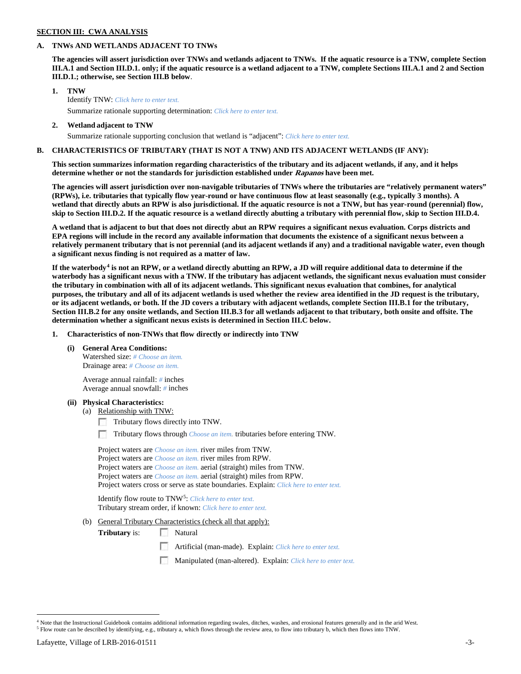# **SECTION III: CWA ANALYSIS**

### **A. TNWs AND WETLANDS ADJACENT TO TNWs**

**The agencies will assert jurisdiction over TNWs and wetlands adjacent to TNWs. If the aquatic resource is a TNW, complete Section III.A.1 and Section III.D.1. only; if the aquatic resource is a wetland adjacent to a TNW, complete Sections III.A.1 and 2 and Section III.D.1.; otherwise, see Section III.B below**.

- **1. TNW**  Identify TNW: *Click here to enter text.*
	- Summarize rationale supporting determination: *Click here to enter text.*
- **2. Wetland adjacent to TNW** Summarize rationale supporting conclusion that wetland is "adjacent": *Click here to enter text.*

## **B. CHARACTERISTICS OF TRIBUTARY (THAT IS NOT A TNW) AND ITS ADJACENT WETLANDS (IF ANY):**

**This section summarizes information regarding characteristics of the tributary and its adjacent wetlands, if any, and it helps determine whether or not the standards for jurisdiction established under Rapanos have been met.** 

**The agencies will assert jurisdiction over non-navigable tributaries of TNWs where the tributaries are "relatively permanent waters" (RPWs), i.e. tributaries that typically flow year-round or have continuous flow at least seasonally (e.g., typically 3 months). A wetland that directly abuts an RPW is also jurisdictional. If the aquatic resource is not a TNW, but has year-round (perennial) flow, skip to Section III.D.2. If the aquatic resource is a wetland directly abutting a tributary with perennial flow, skip to Section III.D.4.**

**A wetland that is adjacent to but that does not directly abut an RPW requires a significant nexus evaluation. Corps districts and EPA regions will include in the record any available information that documents the existence of a significant nexus between a relatively permanent tributary that is not perennial (and its adjacent wetlands if any) and a traditional navigable water, even though a significant nexus finding is not required as a matter of law.**

**If the waterbody[4](#page-2-0) is not an RPW, or a wetland directly abutting an RPW, a JD will require additional data to determine if the waterbody has a significant nexus with a TNW. If the tributary has adjacent wetlands, the significant nexus evaluation must consider the tributary in combination with all of its adjacent wetlands. This significant nexus evaluation that combines, for analytical purposes, the tributary and all of its adjacent wetlands is used whether the review area identified in the JD request is the tributary, or its adjacent wetlands, or both. If the JD covers a tributary with adjacent wetlands, complete Section III.B.1 for the tributary, Section III.B.2 for any onsite wetlands, and Section III.B.3 for all wetlands adjacent to that tributary, both onsite and offsite. The determination whether a significant nexus exists is determined in Section III.C below.**

**1. Characteristics of non-TNWs that flow directly or indirectly into TNW**

**(i) General Area Conditions:**

Watershed size: *# Choose an item.* Drainage area: *# Choose an item.*

Average annual rainfall: *#* inches Average annual snowfall: *#* inches

### **(ii) Physical Characteristics:**

- (a) Relationship with TNW:
	- Tributary flows directly into TNW.

n Tributary flows through *Choose an item.* tributaries before entering TNW.

Project waters are *Choose an item.* river miles from TNW. Project waters are *Choose an item.* river miles from RPW. Project waters are *Choose an item.* aerial (straight) miles from TNW. Project waters are *Choose an item.* aerial (straight) miles from RPW. Project waters cross or serve as state boundaries. Explain: *Click here to enter text.*

Identify flow route to TNW[5:](#page-2-1) *Click here to enter text.* Tributary stream order, if known: *Click here to enter text.*

(b) General Tributary Characteristics (check all that apply):

**Tributary** is: Natural

- Artificial (man-made). Explain: *Click here to enter text.*
- Manipulated (man-altered). Explain: *Click here to enter text.*

<span id="page-2-1"></span><span id="page-2-0"></span><sup>&</sup>lt;sup>4</sup> Note that the Instructional Guidebook contains additional information regarding swales, ditches, washes, and erosional features generally and in the arid West. <sup>5</sup> Flow route can be described by identifying, e.g., tributary a, which flows through the review area, to flow into tributary b, which then flows into TNW.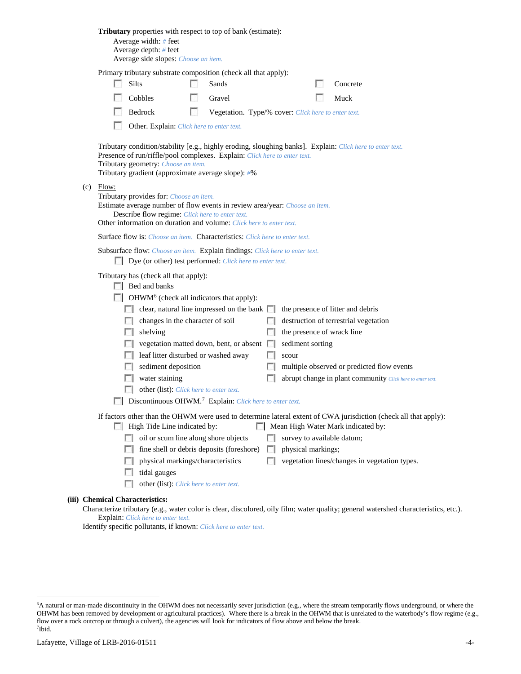|                                                                                                                                                                                                                                                                                                                                                                                                                                                                                  |  | <b>Tributary</b> properties with respect to top of bank (estimate):<br>Average width: # feet<br>Average depth: # feet<br>Average side slopes: Choose an item.                                                                                                                                                                                                                                                                                                   |     |                                                     |                                                           |                                                         |  |                                                                                                                                                                                        |
|----------------------------------------------------------------------------------------------------------------------------------------------------------------------------------------------------------------------------------------------------------------------------------------------------------------------------------------------------------------------------------------------------------------------------------------------------------------------------------|--|-----------------------------------------------------------------------------------------------------------------------------------------------------------------------------------------------------------------------------------------------------------------------------------------------------------------------------------------------------------------------------------------------------------------------------------------------------------------|-----|-----------------------------------------------------|-----------------------------------------------------------|---------------------------------------------------------|--|----------------------------------------------------------------------------------------------------------------------------------------------------------------------------------------|
|                                                                                                                                                                                                                                                                                                                                                                                                                                                                                  |  | Primary tributary substrate composition (check all that apply):                                                                                                                                                                                                                                                                                                                                                                                                 |     |                                                     |                                                           |                                                         |  |                                                                                                                                                                                        |
|                                                                                                                                                                                                                                                                                                                                                                                                                                                                                  |  | Silts                                                                                                                                                                                                                                                                                                                                                                                                                                                           |     | Sands                                               |                                                           |                                                         |  | Concrete                                                                                                                                                                               |
|                                                                                                                                                                                                                                                                                                                                                                                                                                                                                  |  | Cobbles                                                                                                                                                                                                                                                                                                                                                                                                                                                         |     | Gravel                                              |                                                           |                                                         |  | Muck                                                                                                                                                                                   |
|                                                                                                                                                                                                                                                                                                                                                                                                                                                                                  |  | Bedrock                                                                                                                                                                                                                                                                                                                                                                                                                                                         | LS. | Vegetation. Type/% cover: Click here to enter text. |                                                           |                                                         |  |                                                                                                                                                                                        |
|                                                                                                                                                                                                                                                                                                                                                                                                                                                                                  |  | Other. Explain: Click here to enter text.                                                                                                                                                                                                                                                                                                                                                                                                                       |     |                                                     |                                                           |                                                         |  |                                                                                                                                                                                        |
| Tributary condition/stability [e.g., highly eroding, sloughing banks]. Explain: Click here to enter text.<br>Presence of run/riffle/pool complexes. Explain: Click here to enter text.<br>Tributary geometry: Choose an item.<br>Tributary gradient (approximate average slope): #%<br>Flow:<br>(c)<br>Tributary provides for: Choose an item.<br>Estimate average number of flow events in review area/year: Choose an item.<br>Describe flow regime: Click here to enter text. |  |                                                                                                                                                                                                                                                                                                                                                                                                                                                                 |     |                                                     |                                                           |                                                         |  |                                                                                                                                                                                        |
|                                                                                                                                                                                                                                                                                                                                                                                                                                                                                  |  | Other information on duration and volume: Click here to enter text.                                                                                                                                                                                                                                                                                                                                                                                             |     |                                                     |                                                           |                                                         |  |                                                                                                                                                                                        |
|                                                                                                                                                                                                                                                                                                                                                                                                                                                                                  |  | <b>Surface flow is:</b> Choose an item. <b>Characteristics:</b> Click here to enter text.                                                                                                                                                                                                                                                                                                                                                                       |     |                                                     |                                                           |                                                         |  |                                                                                                                                                                                        |
|                                                                                                                                                                                                                                                                                                                                                                                                                                                                                  |  | Subsurface flow: Choose an item. Explain findings: Click here to enter text.<br>Dye (or other) test performed: Click here to enter text.                                                                                                                                                                                                                                                                                                                        |     |                                                     |                                                           |                                                         |  |                                                                                                                                                                                        |
|                                                                                                                                                                                                                                                                                                                                                                                                                                                                                  |  | Tributary has (check all that apply):<br>Bed and banks<br>$\Box$ OHWM <sup>6</sup> (check all indicators that apply):<br>$\Box$ clear, natural line impressed on the bank $\Box$<br>changes in the character of soil<br><b>1000</b><br>shelving<br>L.<br>leaf litter disturbed or washed away<br>sediment deposition<br>water staining<br>other (list): Click here to enter text.<br><b>Discontinuous OHWM.</b> <sup>7</sup> Explain: Click here to enter text. |     | vegetation matted down, bent, or absent             | <b>ISBN</b><br>$\mathbb{R}$<br><b>In the </b><br>F 1<br>ш | the presence of wrack line<br>sediment sorting<br>scour |  | the presence of litter and debris<br>destruction of terrestrial vegetation<br>multiple observed or predicted flow events<br>abrupt change in plant community Click here to enter text. |
|                                                                                                                                                                                                                                                                                                                                                                                                                                                                                  |  | High Tide Line indicated by:                                                                                                                                                                                                                                                                                                                                                                                                                                    |     |                                                     |                                                           |                                                         |  | If factors other than the OHWM were used to determine lateral extent of CWA jurisdiction (check all that apply):<br>Mean High Water Mark indicated by:                                 |
|                                                                                                                                                                                                                                                                                                                                                                                                                                                                                  |  | oil or scum line along shore objects<br><b>COLLEGE</b><br>physical markings/characteristics<br>tidal gauges<br>other (list): Click here to enter text.                                                                                                                                                                                                                                                                                                          |     | fine shell or debris deposits (foreshore)           | FН<br>$\mathbb{R}^n$<br>n                                 | survey to available datum;<br>physical markings;        |  | vegetation lines/changes in vegetation types.                                                                                                                                          |
|                                                                                                                                                                                                                                                                                                                                                                                                                                                                                  |  | (iii) Chemical Characteristics:                                                                                                                                                                                                                                                                                                                                                                                                                                 |     |                                                     |                                                           |                                                         |  |                                                                                                                                                                                        |
|                                                                                                                                                                                                                                                                                                                                                                                                                                                                                  |  | Explain: Click here to enter text.                                                                                                                                                                                                                                                                                                                                                                                                                              |     |                                                     |                                                           |                                                         |  | Characterize tributary (e.g., water color is clear, discolored, oily film; water quality; general watershed characteristics, etc.).                                                    |

Identify specific pollutants, if known: *Click here to enter text.*

<span id="page-3-1"></span><span id="page-3-0"></span> <sup>6</sup> <sup>6</sup>A natural or man-made discontinuity in the OHWM does not necessarily sever jurisdiction (e.g., where the stream temporarily flows underground, or where the OHWM has been removed by development or agricultural practices). Where there is a break in the OHWM that is unrelated to the waterbody's flow regime (e.g., flow over a rock outcrop or through a culvert), the agencies will look for indicators of flow above and below the break. 7 Ibid.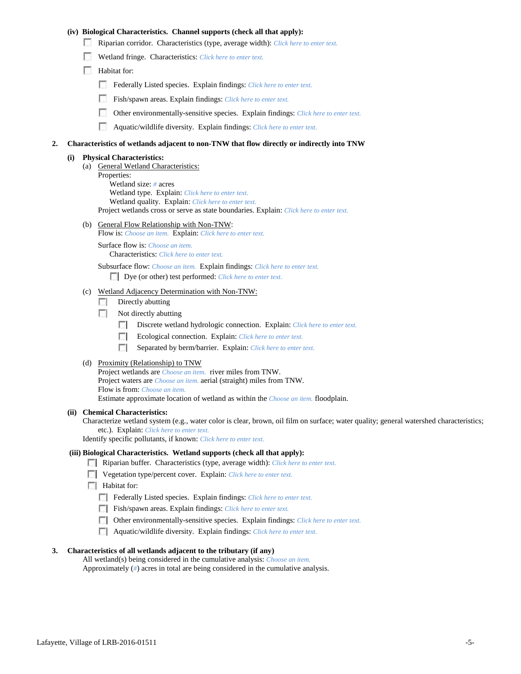## **(iv) Biological Characteristics. Channel supports (check all that apply):**

- Riparian corridor. Characteristics (type, average width): *Click here to enter text.*
- Wetland fringe. Characteristics: *Click here to enter text.*
- Habitat for:
	- Federally Listed species. Explain findings: *Click here to enter text.*
	- Fish/spawn areas. Explain findings: *Click here to enter text.*
	- Other environmentally-sensitive species. Explain findings: *Click here to enter text.* m.
	- n Aquatic/wildlife diversity. Explain findings: *Click here to enter text.*

#### **2. Characteristics of wetlands adjacent to non-TNW that flow directly or indirectly into TNW**

#### **(i) Physical Characteristics:**

- (a) General Wetland Characteristics:
	- Properties:

Wetland size: *#* acres Wetland type. Explain: *Click here to enter text.*

Wetland quality. Explain: *Click here to enter text.*

Project wetlands cross or serve as state boundaries. Explain: *Click here to enter text.*

(b) General Flow Relationship with Non-TNW: Flow is: *Choose an item.* Explain: *Click here to enter text.*

Surface flow is: *Choose an item.* Characteristics: *Click here to enter text.*

Subsurface flow: *Choose an item.* Explain findings: *Click here to enter text.*

Dye (or other) test performed: *Click here to enter text.*

### (c) Wetland Adjacency Determination with Non-TNW:

- $\Box$  Directly abutting
- Not directly abutting
	- 100 Discrete wetland hydrologic connection. Explain: *Click here to enter text.*
	- Ecological connection. Explain: *Click here to enter text.* **The Contract of the Contract of the Contract of the Contract of the Contract of the Contract of the Contract of the Contract of the Contract of the Contract of the Contract of the Contract of the Contract of the Contract**
	- $\sim$ Separated by berm/barrier. Explain: *Click here to enter text.*
- (d) Proximity (Relationship) to TNW

Project wetlands are *Choose an item.* river miles from TNW. Project waters are *Choose an item.* aerial (straight) miles from TNW. Flow is from: *Choose an item.* Estimate approximate location of wetland as within the *Choose an item.* floodplain.

#### **(ii) Chemical Characteristics:**

Characterize wetland system (e.g., water color is clear, brown, oil film on surface; water quality; general watershed characteristics; etc.). Explain: *Click here to enter text.*

Identify specific pollutants, if known: *Click here to enter text.*

## **(iii) Biological Characteristics. Wetland supports (check all that apply):**

- Riparian buffer. Characteristics (type, average width): *Click here to enter text.*
- Vegetation type/percent cover. Explain: *Click here to enter text.*
- $\Box$  Habitat for:
	- Federally Listed species. Explain findings: *Click here to enter text*.
	- Fish/spawn areas. Explain findings: *Click here to enter text.*
	- Other environmentally-sensitive species. Explain findings: *Click here to enter text.*
	- Aquatic/wildlife diversity. Explain findings: *Click here to enter text.*

#### **3. Characteristics of all wetlands adjacent to the tributary (if any)**

All wetland(s) being considered in the cumulative analysis: *Choose an item.* Approximately (*#*) acres in total are being considered in the cumulative analysis.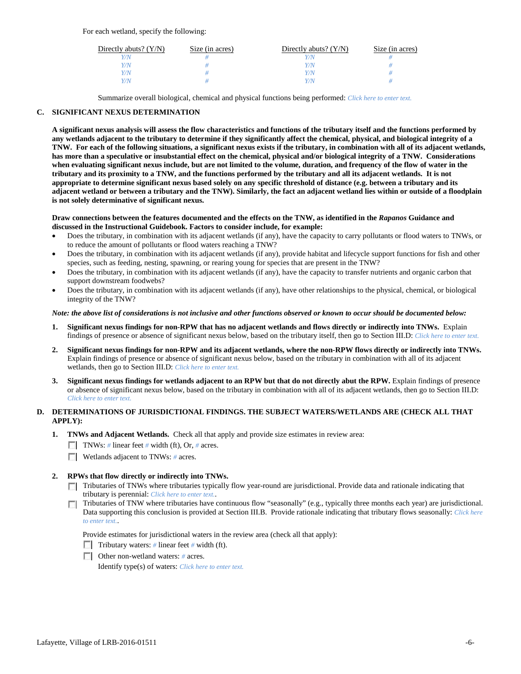For each wetland, specify the following:

| Directly abuts? $(Y/N)$ | Size (in acres) | Directly abuts? $(Y/N)$ | Size (in acres) |
|-------------------------|-----------------|-------------------------|-----------------|
|                         |                 |                         |                 |
| V/N                     |                 | Y/N                     |                 |
| V/N                     |                 | Y/N                     |                 |
|                         |                 | Y/N                     |                 |

Summarize overall biological, chemical and physical functions being performed: *Click here to enter text.*

# **C. SIGNIFICANT NEXUS DETERMINATION**

**A significant nexus analysis will assess the flow characteristics and functions of the tributary itself and the functions performed by any wetlands adjacent to the tributary to determine if they significantly affect the chemical, physical, and biological integrity of a TNW. For each of the following situations, a significant nexus exists if the tributary, in combination with all of its adjacent wetlands, has more than a speculative or insubstantial effect on the chemical, physical and/or biological integrity of a TNW. Considerations when evaluating significant nexus include, but are not limited to the volume, duration, and frequency of the flow of water in the tributary and its proximity to a TNW, and the functions performed by the tributary and all its adjacent wetlands. It is not appropriate to determine significant nexus based solely on any specific threshold of distance (e.g. between a tributary and its adjacent wetland or between a tributary and the TNW). Similarly, the fact an adjacent wetland lies within or outside of a floodplain is not solely determinative of significant nexus.** 

### **Draw connections between the features documented and the effects on the TNW, as identified in the** *Rapanos* **Guidance and discussed in the Instructional Guidebook. Factors to consider include, for example:**

- Does the tributary, in combination with its adjacent wetlands (if any), have the capacity to carry pollutants or flood waters to TNWs, or to reduce the amount of pollutants or flood waters reaching a TNW?
- Does the tributary, in combination with its adjacent wetlands (if any), provide habitat and lifecycle support functions for fish and other species, such as feeding, nesting, spawning, or rearing young for species that are present in the TNW?
- Does the tributary, in combination with its adjacent wetlands (if any), have the capacity to transfer nutrients and organic carbon that support downstream foodwebs?
- Does the tributary, in combination with its adjacent wetlands (if any), have other relationships to the physical, chemical, or biological integrity of the TNW?

### *Note: the above list of considerations is not inclusive and other functions observed or known to occur should be documented below:*

- **1. Significant nexus findings for non-RPW that has no adjacent wetlands and flows directly or indirectly into TNWs.** Explain findings of presence or absence of significant nexus below, based on the tributary itself, then go to Section III.D: *Click here to enter text.*
- **2. Significant nexus findings for non-RPW and its adjacent wetlands, where the non-RPW flows directly or indirectly into TNWs.**  Explain findings of presence or absence of significant nexus below, based on the tributary in combination with all of its adjacent wetlands, then go to Section III.D: *Click here to enter text.*
- **3. Significant nexus findings for wetlands adjacent to an RPW but that do not directly abut the RPW.** Explain findings of presence or absence of significant nexus below, based on the tributary in combination with all of its adjacent wetlands, then go to Section III.D: *Click here to enter text.*

# **D. DETERMINATIONS OF JURISDICTIONAL FINDINGS. THE SUBJECT WATERS/WETLANDS ARE (CHECK ALL THAT APPLY):**

- **1. TNWs and Adjacent Wetlands.** Check all that apply and provide size estimates in review area:
	- TNWs: *#* linear feet *#* width (ft), Or, *#* acres.
	- **Wetlands adjacent to TNWs: # acres.**

# **2. RPWs that flow directly or indirectly into TNWs.**

- Tributaries of TNWs where tributaries typically flow year-round are jurisdictional. Provide data and rationale indicating that tributary is perennial: *Click here to enter text.*.
- Tributaries of TNW where tributaries have continuous flow "seasonally" (e.g., typically three months each year) are jurisdictional.  $\mathcal{L}$ Data supporting this conclusion is provided at Section III.B. Provide rationale indicating that tributary flows seasonally: *Click here to enter text.*.

Provide estimates for jurisdictional waters in the review area (check all that apply):

- Tributary waters: # linear feet # width (ft).
- Other non-wetland waters: *#* acres.

Identify type(s) of waters: *Click here to enter text.*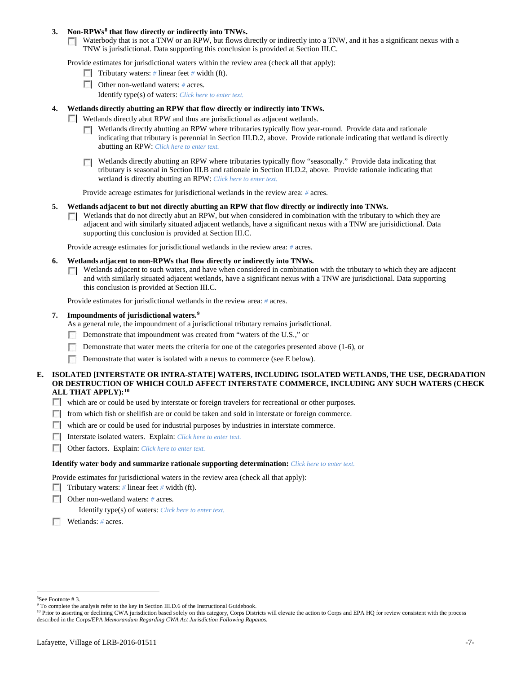## **3. Non-RPWs[8](#page-6-0) that flow directly or indirectly into TNWs.**

Waterbody that is not a TNW or an RPW, but flows directly or indirectly into a TNW, and it has a significant nexus with a TNW is jurisdictional. Data supporting this conclusion is provided at Section III.C.

Provide estimates for jurisdictional waters within the review area (check all that apply):

- **Tributary waters:** # linear feet # width (ft).
- Other non-wetland waters: *#* acres. Identify type(s) of waters: *Click here to enter text.*
- **4. Wetlands directly abutting an RPW that flow directly or indirectly into TNWs.**
	- **Wetlands directly abut RPW and thus are jurisdictional as adjacent wetlands.** 
		- $\Box$  Wetlands directly abutting an RPW where tributaries typically flow year-round. Provide data and rationale indicating that tributary is perennial in Section III.D.2, above. Provide rationale indicating that wetland is directly abutting an RPW: *Click here to enter text.*
		- Wetlands directly abutting an RPW where tributaries typically flow "seasonally." Provide data indicating that tributary is seasonal in Section III.B and rationale in Section III.D.2, above. Provide rationale indicating that wetland is directly abutting an RPW: *Click here to enter text.*

Provide acreage estimates for jurisdictional wetlands in the review area: *#* acres.

- **5. Wetlands adjacent to but not directly abutting an RPW that flow directly or indirectly into TNWs.**
	- $\Box$  Wetlands that do not directly abut an RPW, but when considered in combination with the tributary to which they are adjacent and with similarly situated adjacent wetlands, have a significant nexus with a TNW are jurisidictional. Data supporting this conclusion is provided at Section III.C.

Provide acreage estimates for jurisdictional wetlands in the review area: *#* acres.

- **6. Wetlands adjacent to non-RPWs that flow directly or indirectly into TNWs.** 
	- Wetlands adjacent to such waters, and have when considered in combination with the tributary to which they are adjacent Г. and with similarly situated adjacent wetlands, have a significant nexus with a TNW are jurisdictional. Data supporting this conclusion is provided at Section III.C.

Provide estimates for jurisdictional wetlands in the review area: *#* acres.

### **7. Impoundments of jurisdictional waters. [9](#page-6-1)**

As a general rule, the impoundment of a jurisdictional tributary remains jurisdictional.

- Demonstrate that impoundment was created from "waters of the U.S.," or
- Demonstrate that water meets the criteria for one of the categories presented above (1-6), or
- n Demonstrate that water is isolated with a nexus to commerce (see E below).
- **E. ISOLATED [INTERSTATE OR INTRA-STATE] WATERS, INCLUDING ISOLATED WETLANDS, THE USE, DEGRADATION OR DESTRUCTION OF WHICH COULD AFFECT INTERSTATE COMMERCE, INCLUDING ANY SUCH WATERS (CHECK ALL THAT APPLY):[10](#page-6-2)**
	- which are or could be used by interstate or foreign travelers for recreational or other purposes.
	- $\Box$  from which fish or shellfish are or could be taken and sold in interstate or foreign commerce.
	- which are or could be used for industrial purposes by industries in interstate commerce.
	- Interstate isolated waters.Explain: *Click here to enter text.*
	- Other factors.Explain: *Click here to enter text.*

#### **Identify water body and summarize rationale supporting determination:** *Click here to enter text.*

Provide estimates for jurisdictional waters in the review area (check all that apply):

- Tributary waters: # linear feet # width (ft).
- Other non-wetland waters: *#* acres.

Identify type(s) of waters: *Click here to enter text.*

Wetlands: *#* acres.

 $\frac{1}{8}$ See Footnote # 3.

<span id="page-6-1"></span><span id="page-6-0"></span><sup>&</sup>lt;sup>9</sup> To complete the analysis refer to the key in Section III.D.6 of the Instructional Guidebook.

<span id="page-6-2"></span><sup>&</sup>lt;sup>10</sup> Prior to asserting or declining CWA jurisdiction based solely on this category, Corps Districts will elevate the action to Corps and EPA HQ for review consistent with the process described in the Corps/EPA *Memorandum Regarding CWA Act Jurisdiction Following Rapanos.*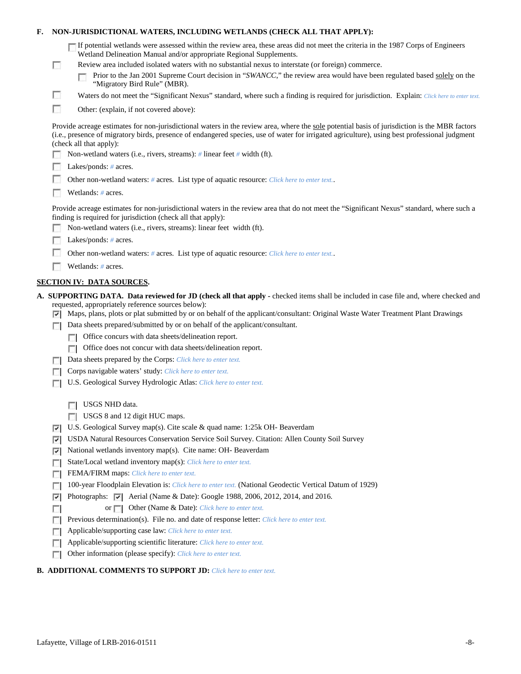| F.                                | NON-JURISDICTIONAL WATERS, INCLUDING WETLANDS (CHECK ALL THAT APPLY):                      |                                                                                                                                                                                                                                                                                                                                                                                                                                                                           |  |  |  |  |
|-----------------------------------|--------------------------------------------------------------------------------------------|---------------------------------------------------------------------------------------------------------------------------------------------------------------------------------------------------------------------------------------------------------------------------------------------------------------------------------------------------------------------------------------------------------------------------------------------------------------------------|--|--|--|--|
|                                   | <b>COL</b>                                                                                 | If potential wetlands were assessed within the review area, these areas did not meet the criteria in the 1987 Corps of Engineers<br>Wetland Delineation Manual and/or appropriate Regional Supplements.<br>Review area included isolated waters with no substantial nexus to interstate (or foreign) commerce.<br>Prior to the Jan 2001 Supreme Court decision in "SWANCC," the review area would have been regulated based solely on the<br>"Migratory Bird Rule" (MBR). |  |  |  |  |
|                                   | u                                                                                          | Waters do not meet the "Significant Nexus" standard, where such a finding is required for jurisdiction. Explain: Click here to enter text.                                                                                                                                                                                                                                                                                                                                |  |  |  |  |
|                                   | г                                                                                          | Other: (explain, if not covered above):                                                                                                                                                                                                                                                                                                                                                                                                                                   |  |  |  |  |
|                                   |                                                                                            |                                                                                                                                                                                                                                                                                                                                                                                                                                                                           |  |  |  |  |
|                                   |                                                                                            | Provide acreage estimates for non-jurisdictional waters in the review area, where the sole potential basis of jurisdiction is the MBR factors<br>(i.e., presence of migratory birds, presence of endangered species, use of water for irrigated agriculture), using best professional judgment<br>(check all that apply):                                                                                                                                                 |  |  |  |  |
|                                   |                                                                                            | Non-wetland waters (i.e., rivers, streams): # linear feet # width (ft).                                                                                                                                                                                                                                                                                                                                                                                                   |  |  |  |  |
| Lakes/ponds: $# \, \text{acres.}$ |                                                                                            |                                                                                                                                                                                                                                                                                                                                                                                                                                                                           |  |  |  |  |
|                                   | Other non-wetland waters: # acres. List type of aquatic resource: Click here to enter text |                                                                                                                                                                                                                                                                                                                                                                                                                                                                           |  |  |  |  |
|                                   |                                                                                            | Wetlands: # acres.                                                                                                                                                                                                                                                                                                                                                                                                                                                        |  |  |  |  |
|                                   |                                                                                            | Provide acreage estimates for non-jurisdictional waters in the review area that do not meet the "Significant Nexus" standard, where such a<br>finding is required for jurisdiction (check all that apply):                                                                                                                                                                                                                                                                |  |  |  |  |
|                                   |                                                                                            | Non-wetland waters (i.e., rivers, streams): linear feet width (ft).                                                                                                                                                                                                                                                                                                                                                                                                       |  |  |  |  |
|                                   |                                                                                            | Lakes/ponds: $# \, \text{acres.}$                                                                                                                                                                                                                                                                                                                                                                                                                                         |  |  |  |  |
|                                   |                                                                                            | Other non-wetland waters: # acres. List type of aquatic resource: Click here to enter text                                                                                                                                                                                                                                                                                                                                                                                |  |  |  |  |
|                                   |                                                                                            | Wetlands: # acres.                                                                                                                                                                                                                                                                                                                                                                                                                                                        |  |  |  |  |
|                                   |                                                                                            | <b>SECTION IV: DATA SOURCES.</b>                                                                                                                                                                                                                                                                                                                                                                                                                                          |  |  |  |  |
|                                   |                                                                                            | A. SUPPORTING DATA. Data reviewed for JD (check all that apply - checked items shall be included in case file and, where checked and                                                                                                                                                                                                                                                                                                                                      |  |  |  |  |
|                                   |                                                                                            | requested, appropriately reference sources below):<br>Maps, plans, plots or plat submitted by or on behalf of the applicant/consultant: Original Waste Water Treatment Plant Drawings                                                                                                                                                                                                                                                                                     |  |  |  |  |
|                                   | ▿                                                                                          | Data sheets prepared/submitted by or on behalf of the applicant/consultant.                                                                                                                                                                                                                                                                                                                                                                                               |  |  |  |  |
|                                   |                                                                                            | Office concurs with data sheets/delineation report.                                                                                                                                                                                                                                                                                                                                                                                                                       |  |  |  |  |
|                                   |                                                                                            | Office does not concur with data sheets/delineation report.                                                                                                                                                                                                                                                                                                                                                                                                               |  |  |  |  |
|                                   |                                                                                            | Data sheets prepared by the Corps: Click here to enter text.                                                                                                                                                                                                                                                                                                                                                                                                              |  |  |  |  |
|                                   |                                                                                            | Corps navigable waters' study: Click here to enter text.                                                                                                                                                                                                                                                                                                                                                                                                                  |  |  |  |  |
|                                   |                                                                                            | U.S. Geological Survey Hydrologic Atlas: Click here to enter text.                                                                                                                                                                                                                                                                                                                                                                                                        |  |  |  |  |
|                                   |                                                                                            |                                                                                                                                                                                                                                                                                                                                                                                                                                                                           |  |  |  |  |
|                                   |                                                                                            | USGS NHD data.                                                                                                                                                                                                                                                                                                                                                                                                                                                            |  |  |  |  |
|                                   |                                                                                            | USGS 8 and 12 digit HUC maps.<br>п                                                                                                                                                                                                                                                                                                                                                                                                                                        |  |  |  |  |
|                                   | ⊽                                                                                          | U.S. Geological Survey map(s). Cite scale & quad name: 1:25k OH- Beaverdam                                                                                                                                                                                                                                                                                                                                                                                                |  |  |  |  |
|                                   | ⊽                                                                                          | USDA Natural Resources Conservation Service Soil Survey. Citation: Allen County Soil Survey                                                                                                                                                                                                                                                                                                                                                                               |  |  |  |  |
|                                   | ⊽                                                                                          | National wetlands inventory map(s). Cite name: OH- Beaverdam                                                                                                                                                                                                                                                                                                                                                                                                              |  |  |  |  |
|                                   | г                                                                                          | State/Local wetland inventory map(s): Click here to enter text.                                                                                                                                                                                                                                                                                                                                                                                                           |  |  |  |  |
|                                   |                                                                                            | FEMA/FIRM maps: Click here to enter text.                                                                                                                                                                                                                                                                                                                                                                                                                                 |  |  |  |  |
|                                   |                                                                                            |                                                                                                                                                                                                                                                                                                                                                                                                                                                                           |  |  |  |  |
|                                   |                                                                                            | 100-year Floodplain Elevation is: Click here to enter text. (National Geodectic Vertical Datum of 1929)                                                                                                                                                                                                                                                                                                                                                                   |  |  |  |  |
|                                   | ⊽                                                                                          | Photographs: v Aerial (Name & Date): Google 1988, 2006, 2012, 2014, and 2016.                                                                                                                                                                                                                                                                                                                                                                                             |  |  |  |  |
|                                   | <b>COL</b>                                                                                 | Other (Name & Date): Click here to enter text.<br>or $\Box$                                                                                                                                                                                                                                                                                                                                                                                                               |  |  |  |  |
|                                   |                                                                                            | Previous determination(s). File no. and date of response letter: Click here to enter text.                                                                                                                                                                                                                                                                                                                                                                                |  |  |  |  |
|                                   |                                                                                            | Applicable/supporting case law: Click here to enter text.                                                                                                                                                                                                                                                                                                                                                                                                                 |  |  |  |  |
|                                   | D                                                                                          | Applicable/supporting scientific literature: Click here to enter text.<br>Other information (please specify): Click here to enter text.                                                                                                                                                                                                                                                                                                                                   |  |  |  |  |

# **B. ADDITIONAL COMMENTS TO SUPPORT JD:** *Click here to enter text.*